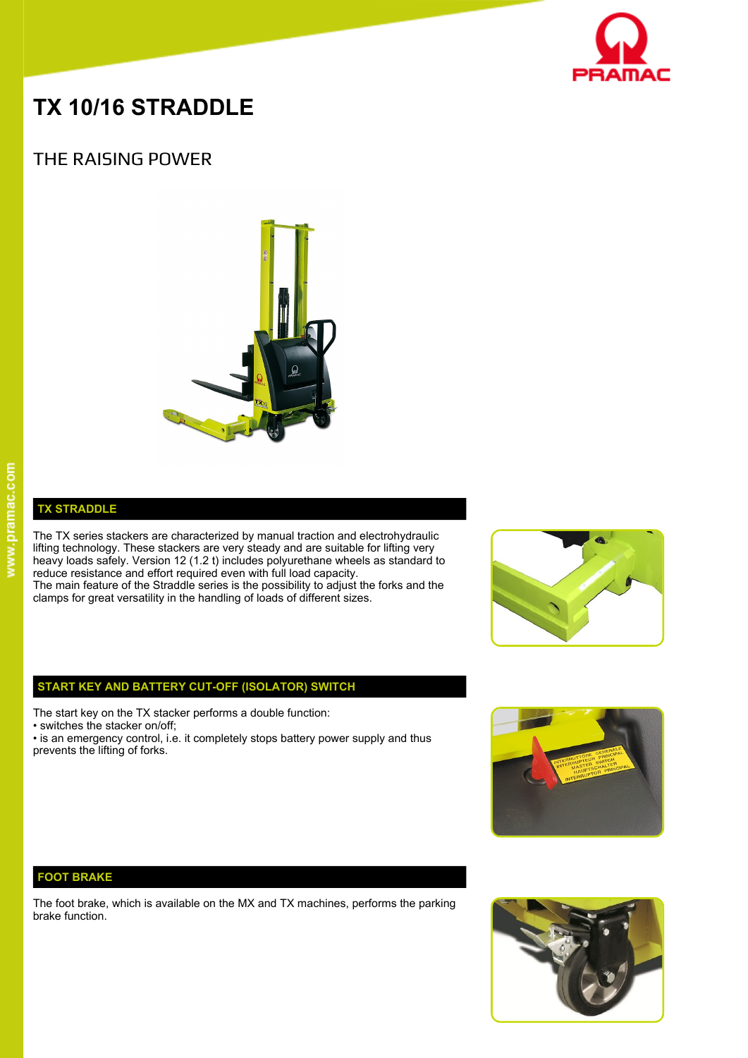

# **TX 10/16 STRADDLE**

## THE RAISING POWER



#### **TX STRADDLE**

The TX series stackers are characterized by manual traction and electrohydraulic lifting technology. These stackers are very steady and are suitable for lifting very heavy loads safely. Version 12 (1.2 t) includes polyurethane wheels as standard to reduce resistance and effort required even with full load capacity.

The main feature of the Straddle series is the possibility to adjust the forks and the clamps for great versatility in the handling of loads of different sizes.



#### **START KEY AND BATTERY CUT-OFF (ISOLATOR) SWITCH**

The start key on the TX stacker performs a double function:

• switches the stacker on/off;

• is an emergency control, i.e. it completely stops battery power supply and thus **the state of the state of the state of the state of the state of the state of the state of the state of the state of the state of the state** prevents the lifting of forks.



### **FOOT BRAKE**

The foot brake, which is available on the MX and TX machines, performs the parking brake function.

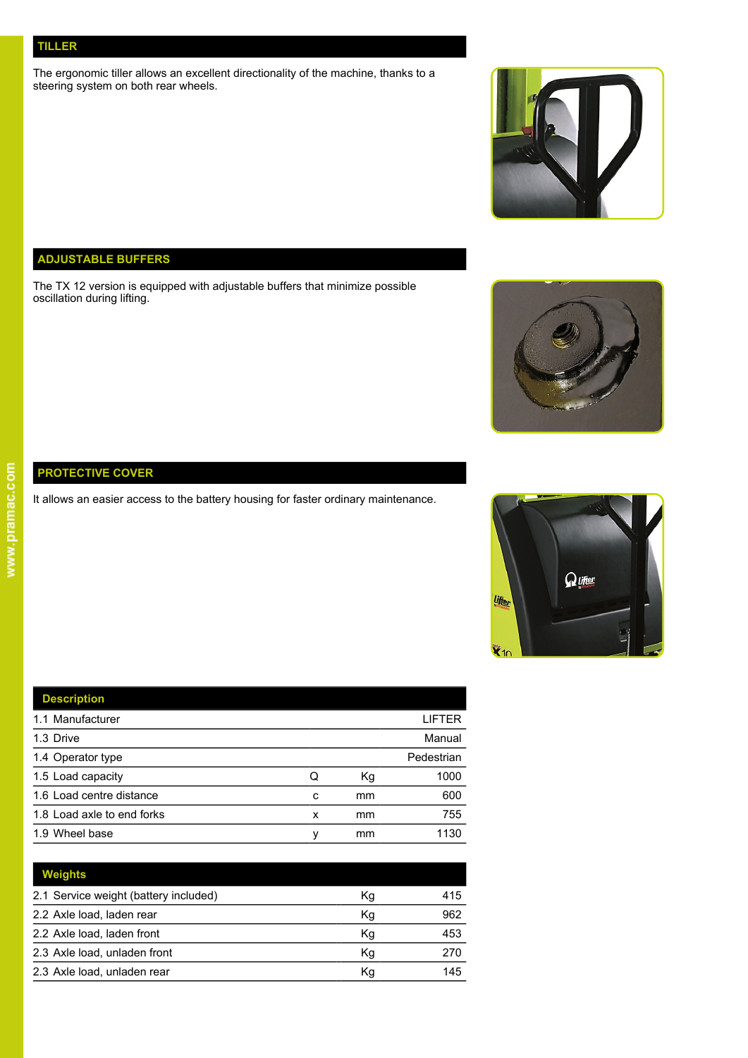#### **TILLER**

The ergonomic tiller allows an excellent directionality of the machine, thanks to a steering system on both rear wheels.



## **ADJUSTABLE BUFFERS**

The TX 12 version is equipped with adjustable buffers that minimize possible oscillation during lifting.



## **PROTECTIVE COVER**

www.pramac.com

It allows an easier access to the battery housing for faster ordinary maintenance.



| <b>Description</b>         |   |    |               |
|----------------------------|---|----|---------------|
| 1.1 Manufacturer           |   |    | <b>LIFTER</b> |
| 1.3 Drive                  |   |    | Manual        |
| 1.4 Operator type          |   |    | Pedestrian    |
| 1.5 Load capacity          | Q | Кg | 1000          |
| 1.6 Load centre distance   | c | mm | 600           |
| 1.8 Load axle to end forks | x | mm | 755           |
| 1.9 Wheel base             |   | mm | 1130          |

| Weights                               |    |     |
|---------------------------------------|----|-----|
| 2.1 Service weight (battery included) | Κg | 415 |
| 2.2 Axle load, laden rear             | Кg | 962 |
| 2.2 Axle load, laden front            | Кg | 453 |
| 2.3 Axle load, unladen front          | Κq | 270 |
| 2.3 Axle load, unladen rear           | Κg | 145 |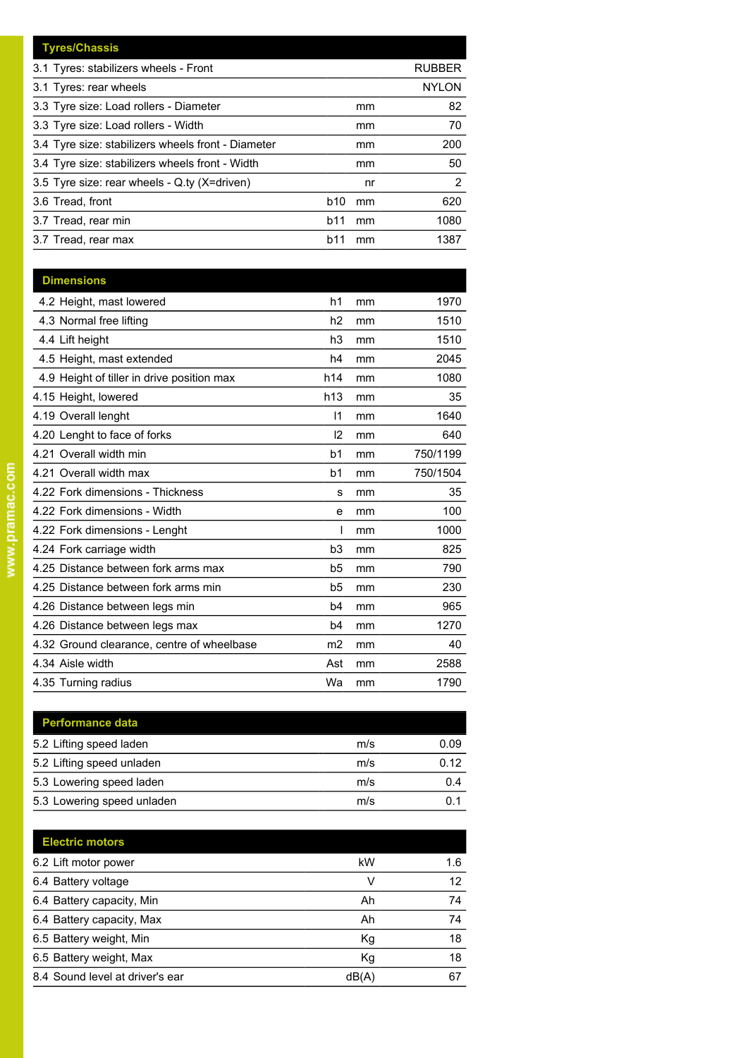| <b>Tyres/Chassis</b>                               |                  |                |
|----------------------------------------------------|------------------|----------------|
| 3.1 Tyres: stabilizers wheels - Front              |                  | <b>RUBBER</b>  |
| 3.1 Tyres: rear wheels                             |                  | <b>NYLON</b>   |
| 3.3 Tyre size: Load rollers - Diameter             | mm               | 82             |
| 3.3 Tyre size: Load rollers - Width                | mm               | 70             |
| 3.4 Tyre size: stabilizers wheels front - Diameter | mm               | 200            |
| 3.4 Tyre size: stabilizers wheels front - Width    | mm               | 50             |
| 3.5 Tyre size: rear wheels - Q ty (X=driven)       | nr               | $\overline{2}$ |
| 3.6 Tread, front                                   | b10<br>mm        | 620            |
| 3.7 Tread, rear min                                | b11<br>mm        | 1080           |
| 3.7 Tread, rear max                                | <b>b11</b><br>mm | 1387           |

| 1970<br>4.2 Height, mast lowered<br>h1<br>mm<br>4.3 Normal free lifting<br>h2<br>1510<br>mm<br>4.4 Lift height<br>h <sub>3</sub><br>1510<br>mm<br>4.5 Height, mast extended<br>2045<br>h4<br>mm<br>1080<br>4.9 Height of tiller in drive position max<br>h14<br>mm<br>h13<br>35<br>4.15 Height, lowered<br>mm<br>1640<br>4.19 Overall lenght<br> 1<br>mm<br>4.20 Lenght to face of forks<br>640<br>12<br>mm<br>4.21 Overall width min<br>750/1199<br>b <sub>1</sub><br>mm<br>4.21 Overall width max<br>750/1504<br>b <sub>1</sub><br>mm<br>4.22 Fork dimensions - Thickness<br>35<br>mm<br>s<br>4.22 Fork dimensions - Width<br>100<br>mm<br>e<br>1000<br>4.22 Fork dimensions - Lenght<br>I<br>mm<br>4.24 Fork carriage width<br>b <sub>3</sub><br>825<br>mm<br>4.25 Distance between fork arms max<br>790<br>b5<br>mm<br>4.25 Distance between fork arms min<br>230<br>b <sub>5</sub><br>mm<br>965<br>4.26 Distance between legs min<br>b4<br>mm<br>1270<br>4.26 Distance between legs max<br>b <sub>4</sub><br>mm<br>4.32 Ground clearance, centre of wheelbase<br>m <sub>2</sub><br>40<br>mm<br>2588<br>4.34 Aisle width<br>Ast<br>mm<br>4.35 Turning radius<br>Wa<br>1790<br>mm | <b>Dimensions</b> |  |  |
|--------------------------------------------------------------------------------------------------------------------------------------------------------------------------------------------------------------------------------------------------------------------------------------------------------------------------------------------------------------------------------------------------------------------------------------------------------------------------------------------------------------------------------------------------------------------------------------------------------------------------------------------------------------------------------------------------------------------------------------------------------------------------------------------------------------------------------------------------------------------------------------------------------------------------------------------------------------------------------------------------------------------------------------------------------------------------------------------------------------------------------------------------------------------------------------|-------------------|--|--|
|                                                                                                                                                                                                                                                                                                                                                                                                                                                                                                                                                                                                                                                                                                                                                                                                                                                                                                                                                                                                                                                                                                                                                                                      |                   |  |  |
|                                                                                                                                                                                                                                                                                                                                                                                                                                                                                                                                                                                                                                                                                                                                                                                                                                                                                                                                                                                                                                                                                                                                                                                      |                   |  |  |
|                                                                                                                                                                                                                                                                                                                                                                                                                                                                                                                                                                                                                                                                                                                                                                                                                                                                                                                                                                                                                                                                                                                                                                                      |                   |  |  |
|                                                                                                                                                                                                                                                                                                                                                                                                                                                                                                                                                                                                                                                                                                                                                                                                                                                                                                                                                                                                                                                                                                                                                                                      |                   |  |  |
|                                                                                                                                                                                                                                                                                                                                                                                                                                                                                                                                                                                                                                                                                                                                                                                                                                                                                                                                                                                                                                                                                                                                                                                      |                   |  |  |
|                                                                                                                                                                                                                                                                                                                                                                                                                                                                                                                                                                                                                                                                                                                                                                                                                                                                                                                                                                                                                                                                                                                                                                                      |                   |  |  |
|                                                                                                                                                                                                                                                                                                                                                                                                                                                                                                                                                                                                                                                                                                                                                                                                                                                                                                                                                                                                                                                                                                                                                                                      |                   |  |  |
|                                                                                                                                                                                                                                                                                                                                                                                                                                                                                                                                                                                                                                                                                                                                                                                                                                                                                                                                                                                                                                                                                                                                                                                      |                   |  |  |
|                                                                                                                                                                                                                                                                                                                                                                                                                                                                                                                                                                                                                                                                                                                                                                                                                                                                                                                                                                                                                                                                                                                                                                                      |                   |  |  |
|                                                                                                                                                                                                                                                                                                                                                                                                                                                                                                                                                                                                                                                                                                                                                                                                                                                                                                                                                                                                                                                                                                                                                                                      |                   |  |  |
|                                                                                                                                                                                                                                                                                                                                                                                                                                                                                                                                                                                                                                                                                                                                                                                                                                                                                                                                                                                                                                                                                                                                                                                      |                   |  |  |
|                                                                                                                                                                                                                                                                                                                                                                                                                                                                                                                                                                                                                                                                                                                                                                                                                                                                                                                                                                                                                                                                                                                                                                                      |                   |  |  |
|                                                                                                                                                                                                                                                                                                                                                                                                                                                                                                                                                                                                                                                                                                                                                                                                                                                                                                                                                                                                                                                                                                                                                                                      |                   |  |  |
|                                                                                                                                                                                                                                                                                                                                                                                                                                                                                                                                                                                                                                                                                                                                                                                                                                                                                                                                                                                                                                                                                                                                                                                      |                   |  |  |
|                                                                                                                                                                                                                                                                                                                                                                                                                                                                                                                                                                                                                                                                                                                                                                                                                                                                                                                                                                                                                                                                                                                                                                                      |                   |  |  |
|                                                                                                                                                                                                                                                                                                                                                                                                                                                                                                                                                                                                                                                                                                                                                                                                                                                                                                                                                                                                                                                                                                                                                                                      |                   |  |  |
|                                                                                                                                                                                                                                                                                                                                                                                                                                                                                                                                                                                                                                                                                                                                                                                                                                                                                                                                                                                                                                                                                                                                                                                      |                   |  |  |
|                                                                                                                                                                                                                                                                                                                                                                                                                                                                                                                                                                                                                                                                                                                                                                                                                                                                                                                                                                                                                                                                                                                                                                                      |                   |  |  |
|                                                                                                                                                                                                                                                                                                                                                                                                                                                                                                                                                                                                                                                                                                                                                                                                                                                                                                                                                                                                                                                                                                                                                                                      |                   |  |  |
|                                                                                                                                                                                                                                                                                                                                                                                                                                                                                                                                                                                                                                                                                                                                                                                                                                                                                                                                                                                                                                                                                                                                                                                      |                   |  |  |
|                                                                                                                                                                                                                                                                                                                                                                                                                                                                                                                                                                                                                                                                                                                                                                                                                                                                                                                                                                                                                                                                                                                                                                                      |                   |  |  |

| <b>Performance data</b>    |     |      |
|----------------------------|-----|------|
| 5.2 Lifting speed laden    | m/s | 0.09 |
| 5.2 Lifting speed unladen  | m/s | 0.12 |
| 5.3 Lowering speed laden   | m/s | 0.4  |
| 5.3 Lowering speed unladen | m/s |      |

| <b>Electric motors</b>          |       |     |
|---------------------------------|-------|-----|
| 6.2 Lift motor power            | kW    | 1.6 |
| 6.4 Battery voltage             | v     | 12  |
| 6.4 Battery capacity, Min       | Ah    | 74  |
| 6.4 Battery capacity, Max       | Ah    | 74  |
| 6.5 Battery weight, Min         | Kg    | 18  |
| 6.5 Battery weight, Max         | Kg    | 18  |
| 8.4 Sound level at driver's ear | dB(A) | 67  |